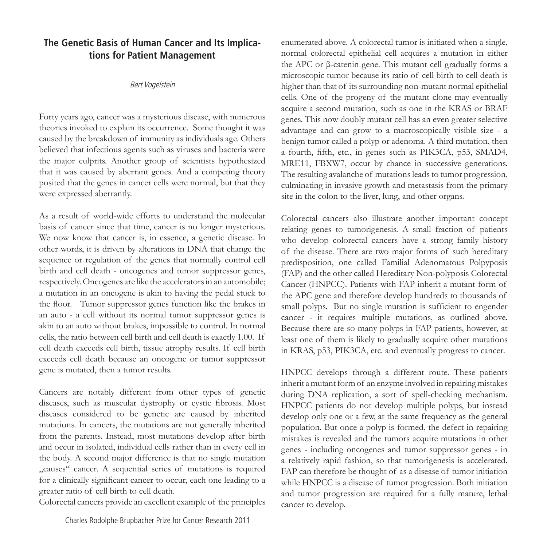## **The Genetic Basis of Human Cancer and Its Implications for Patient Management**

## Bert Vogelstein

Forty years ago, cancer was a mysterious disease, with numerous theories invoked to explain its occurrence. Some thought it was caused by the breakdown of immunity as individuals age. Others believed that infectious agents such as viruses and bacteria were the major culprits. Another group of scientists hypothesized that it was caused by aberrant genes. And a competing theory posited that the genes in cancer cells were normal, but that they were expressed aberrantly.

As a result of world-wide efforts to understand the molecular basis of cancer since that time, cancer is no longer mysterious. We now know that cancer is, in essence, a genetic disease. In other words, it is driven by alterations in DNA that change the sequence or regulation of the genes that normally control cell birth and cell death - oncogenes and tumor suppressor genes, respectively. Oncogenes are like the accelerators in an automobile; a mutation in an oncogene is akin to having the pedal stuck to the floor. Tumor suppressor genes function like the brakes in an auto - a cell without its normal tumor suppressor genes is akin to an auto without brakes, impossible to control. In normal cells, the ratio between cell birth and cell death is exactly 1.00. If cell death exceeds cell birth, tissue atrophy results. If cell birth exceeds cell death because an oncogene or tumor suppressor gene is mutated, then a tumor results.

Cancers are notably different from other types of genetic diseases, such as muscular dystrophy or cystic fibrosis. Most diseases considered to be genetic are caused by inherited mutations. In cancers, the mutations are not generally inherited from the parents. Instead, most mutations develop after birth and occur in isolated, individual cells rather than in every cell in the body. A second major difference is that no single mutation "causes" cancer. A sequential series of mutations is required for a clinically significant cancer to occur, each one leading to a greater ratio of cell birth to cell death.

Colorectal cancers provide an excellent example of the principles

enumerated above. A colorectal tumor is initiated when a single, normal colorectal epithelial cell acquires a mutation in either the APC or β-catenin gene. This mutant cell gradually forms a microscopic tumor because its ratio of cell birth to cell death is higher than that of its surrounding non-mutant normal epithelial cells. One of the progeny of the mutant clone may eventually acquire a second mutation, such as one in the KRAS or BRAF genes. This now doubly mutant cell has an even greater selective advantage and can grow to a macroscopically visible size - a benign tumor called a polyp or adenoma. A third mutation, then a fourth, fifth, etc., in genes such as PIK3CA, p53, SMAD4, MRE11, FBXW7, occur by chance in successive generations. The resulting avalanche of mutations leads to tumor progression, culminating in invasive growth and metastasis from the primary site in the colon to the liver, lung, and other organs.

Colorectal cancers also illustrate another important concept relating genes to tumorigenesis. A small fraction of patients who develop colorectal cancers have a strong family history of the disease. There are two major forms of such hereditary predisposition, one called Familial Adenomatous Polpyposis (FAP) and the other called Hereditary Non-polyposis Colorectal Cancer (HNPCC). Patients with FAP inherit a mutant form of the APC gene and therefore develop hundreds to thousands of small polyps. But no single mutation is sufficient to engender cancer - it requires multiple mutations, as outlined above. Because there are so many polyps in FAP patients, however, at least one of them is likely to gradually acquire other mutations in KRAS, p53, PIK3CA, etc. and eventually progress to cancer.

HNPCC develops through a different route. These patients inherit a mutant form of an enzyme involved in repairing mistakes during DNA replication, a sort of spell-checking mechanism. HNPCC patients do not develop multiple polyps, but instead develop only one or a few, at the same frequency as the general population. But once a polyp is formed, the defect in repairing mistakes is revealed and the tumors acquire mutations in other genes - including oncogenes and tumor suppressor genes - in a relatively rapid fashion, so that tumorigenesis is accelerated. FAP can therefore be thought of as a disease of tumor initiation while HNPCC is a disease of tumor progression. Both initiation and tumor progression are required for a fully mature, lethal cancer to develop.